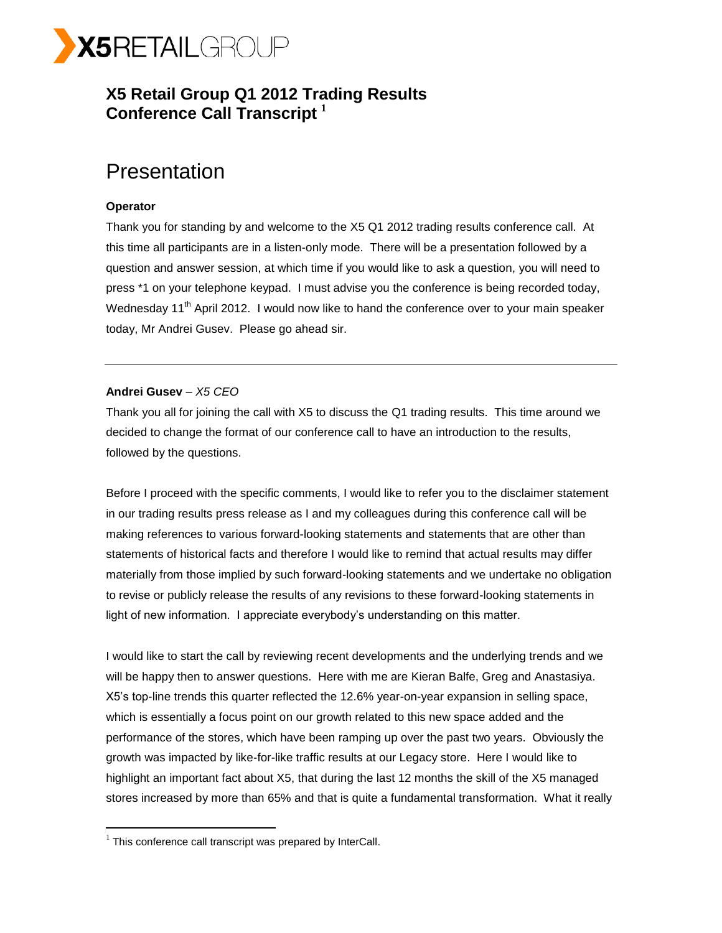

## **X5 Retail Group Q1 2012 Trading Results Conference Call Transcript <sup>1</sup>**

# Presentation

## **Operator**

Thank you for standing by and welcome to the X5 Q1 2012 trading results conference call. At this time all participants are in a listen-only mode. There will be a presentation followed by a question and answer session, at which time if you would like to ask a question, you will need to press \*1 on your telephone keypad. I must advise you the conference is being recorded today, Wednesday 11<sup>th</sup> April 2012. I would now like to hand the conference over to your main speaker today, Mr Andrei Gusev. Please go ahead sir.

## **Andrei Gusev** – *X5 CEO*

Thank you all for joining the call with X5 to discuss the Q1 trading results. This time around we decided to change the format of our conference call to have an introduction to the results, followed by the questions.

Before I proceed with the specific comments, I would like to refer you to the disclaimer statement in our trading results press release as I and my colleagues during this conference call will be making references to various forward-looking statements and statements that are other than statements of historical facts and therefore I would like to remind that actual results may differ materially from those implied by such forward-looking statements and we undertake no obligation to revise or publicly release the results of any revisions to these forward-looking statements in light of new information. I appreciate everybody's understanding on this matter.

I would like to start the call by reviewing recent developments and the underlying trends and we will be happy then to answer questions. Here with me are Kieran Balfe, Greg and Anastasiya. X5's top-line trends this quarter reflected the 12.6% year-on-year expansion in selling space, which is essentially a focus point on our growth related to this new space added and the performance of the stores, which have been ramping up over the past two years. Obviously the growth was impacted by like-for-like traffic results at our Legacy store. Here I would like to highlight an important fact about X5, that during the last 12 months the skill of the X5 managed stores increased by more than 65% and that is quite a fundamental transformation. What it really

 $\overline{a}$ 

 $1$  This conference call transcript was prepared by InterCall.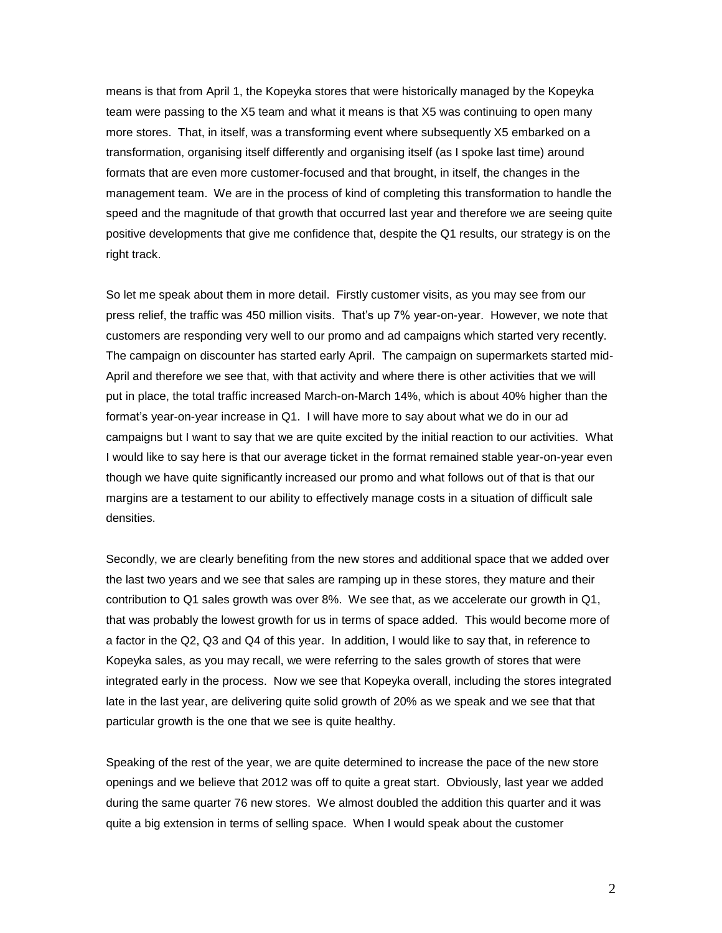means is that from April 1, the Kopeyka stores that were historically managed by the Kopeyka team were passing to the X5 team and what it means is that X5 was continuing to open many more stores. That, in itself, was a transforming event where subsequently X5 embarked on a transformation, organising itself differently and organising itself (as I spoke last time) around formats that are even more customer-focused and that brought, in itself, the changes in the management team. We are in the process of kind of completing this transformation to handle the speed and the magnitude of that growth that occurred last year and therefore we are seeing quite positive developments that give me confidence that, despite the Q1 results, our strategy is on the right track.

So let me speak about them in more detail. Firstly customer visits, as you may see from our press relief, the traffic was 450 million visits. That's up 7% year-on-year. However, we note that customers are responding very well to our promo and ad campaigns which started very recently. The campaign on discounter has started early April. The campaign on supermarkets started mid-April and therefore we see that, with that activity and where there is other activities that we will put in place, the total traffic increased March-on-March 14%, which is about 40% higher than the format's year-on-year increase in Q1. I will have more to say about what we do in our ad campaigns but I want to say that we are quite excited by the initial reaction to our activities. What I would like to say here is that our average ticket in the format remained stable year-on-year even though we have quite significantly increased our promo and what follows out of that is that our margins are a testament to our ability to effectively manage costs in a situation of difficult sale densities.

Secondly, we are clearly benefiting from the new stores and additional space that we added over the last two years and we see that sales are ramping up in these stores, they mature and their contribution to Q1 sales growth was over 8%. We see that, as we accelerate our growth in Q1, that was probably the lowest growth for us in terms of space added. This would become more of a factor in the Q2, Q3 and Q4 of this year. In addition, I would like to say that, in reference to Kopeyka sales, as you may recall, we were referring to the sales growth of stores that were integrated early in the process. Now we see that Kopeyka overall, including the stores integrated late in the last year, are delivering quite solid growth of 20% as we speak and we see that that particular growth is the one that we see is quite healthy.

Speaking of the rest of the year, we are quite determined to increase the pace of the new store openings and we believe that 2012 was off to quite a great start. Obviously, last year we added during the same quarter 76 new stores. We almost doubled the addition this quarter and it was quite a big extension in terms of selling space. When I would speak about the customer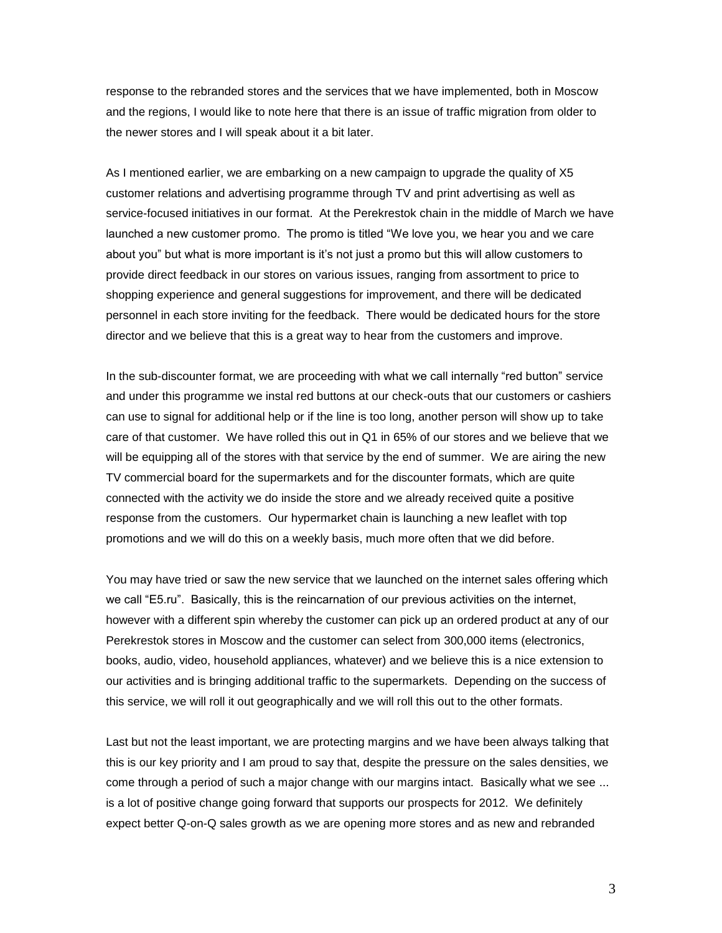response to the rebranded stores and the services that we have implemented, both in Moscow and the regions, I would like to note here that there is an issue of traffic migration from older to the newer stores and I will speak about it a bit later.

As I mentioned earlier, we are embarking on a new campaign to upgrade the quality of X5 customer relations and advertising programme through TV and print advertising as well as service-focused initiatives in our format. At the Perekrestok chain in the middle of March we have launched a new customer promo. The promo is titled "We love you, we hear you and we care about you" but what is more important is it's not just a promo but this will allow customers to provide direct feedback in our stores on various issues, ranging from assortment to price to shopping experience and general suggestions for improvement, and there will be dedicated personnel in each store inviting for the feedback. There would be dedicated hours for the store director and we believe that this is a great way to hear from the customers and improve.

In the sub-discounter format, we are proceeding with what we call internally "red button" service and under this programme we instal red buttons at our check-outs that our customers or cashiers can use to signal for additional help or if the line is too long, another person will show up to take care of that customer. We have rolled this out in Q1 in 65% of our stores and we believe that we will be equipping all of the stores with that service by the end of summer. We are airing the new TV commercial board for the supermarkets and for the discounter formats, which are quite connected with the activity we do inside the store and we already received quite a positive response from the customers. Our hypermarket chain is launching a new leaflet with top promotions and we will do this on a weekly basis, much more often that we did before.

You may have tried or saw the new service that we launched on the internet sales offering which we call "E5.ru". Basically, this is the reincarnation of our previous activities on the internet, however with a different spin whereby the customer can pick up an ordered product at any of our Perekrestok stores in Moscow and the customer can select from 300,000 items (electronics, books, audio, video, household appliances, whatever) and we believe this is a nice extension to our activities and is bringing additional traffic to the supermarkets. Depending on the success of this service, we will roll it out geographically and we will roll this out to the other formats.

Last but not the least important, we are protecting margins and we have been always talking that this is our key priority and I am proud to say that, despite the pressure on the sales densities, we come through a period of such a major change with our margins intact. Basically what we see ... is a lot of positive change going forward that supports our prospects for 2012. We definitely expect better Q-on-Q sales growth as we are opening more stores and as new and rebranded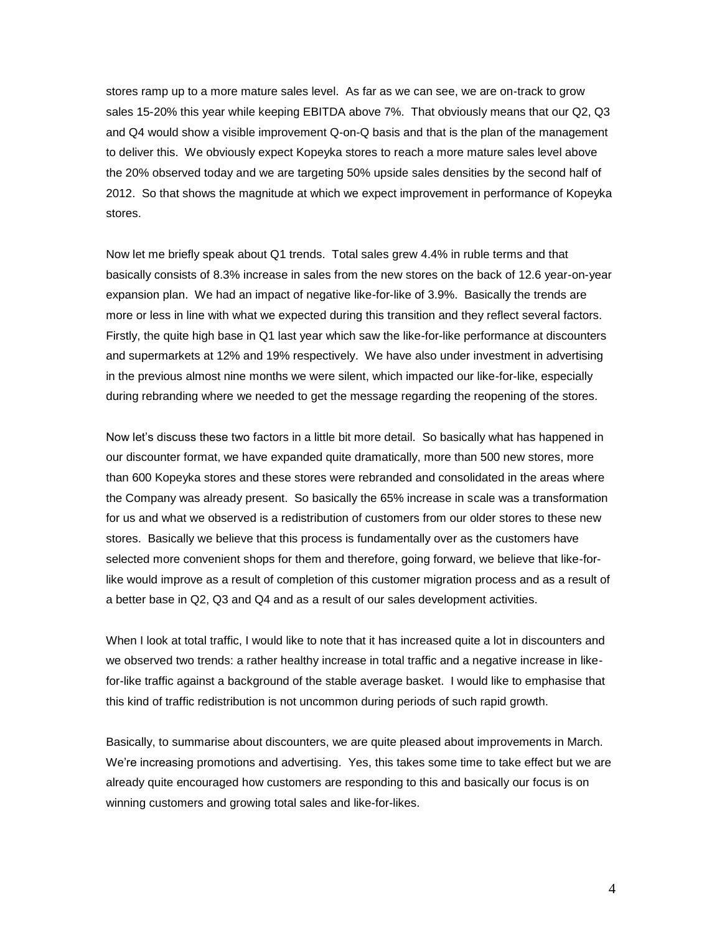stores ramp up to a more mature sales level. As far as we can see, we are on-track to grow sales 15-20% this year while keeping EBITDA above 7%. That obviously means that our Q2, Q3 and Q4 would show a visible improvement Q-on-Q basis and that is the plan of the management to deliver this. We obviously expect Kopeyka stores to reach a more mature sales level above the 20% observed today and we are targeting 50% upside sales densities by the second half of 2012. So that shows the magnitude at which we expect improvement in performance of Kopeyka stores.

Now let me briefly speak about Q1 trends. Total sales grew 4.4% in ruble terms and that basically consists of 8.3% increase in sales from the new stores on the back of 12.6 year-on-year expansion plan. We had an impact of negative like-for-like of 3.9%. Basically the trends are more or less in line with what we expected during this transition and they reflect several factors. Firstly, the quite high base in Q1 last year which saw the like-for-like performance at discounters and supermarkets at 12% and 19% respectively. We have also under investment in advertising in the previous almost nine months we were silent, which impacted our like-for-like, especially during rebranding where we needed to get the message regarding the reopening of the stores.

Now let's discuss these two factors in a little bit more detail. So basically what has happened in our discounter format, we have expanded quite dramatically, more than 500 new stores, more than 600 Kopeyka stores and these stores were rebranded and consolidated in the areas where the Company was already present. So basically the 65% increase in scale was a transformation for us and what we observed is a redistribution of customers from our older stores to these new stores. Basically we believe that this process is fundamentally over as the customers have selected more convenient shops for them and therefore, going forward, we believe that like-forlike would improve as a result of completion of this customer migration process and as a result of a better base in Q2, Q3 and Q4 and as a result of our sales development activities.

When I look at total traffic, I would like to note that it has increased quite a lot in discounters and we observed two trends: a rather healthy increase in total traffic and a negative increase in likefor-like traffic against a background of the stable average basket. I would like to emphasise that this kind of traffic redistribution is not uncommon during periods of such rapid growth.

Basically, to summarise about discounters, we are quite pleased about improvements in March. We're increasing promotions and advertising. Yes, this takes some time to take effect but we are already quite encouraged how customers are responding to this and basically our focus is on winning customers and growing total sales and like-for-likes.

4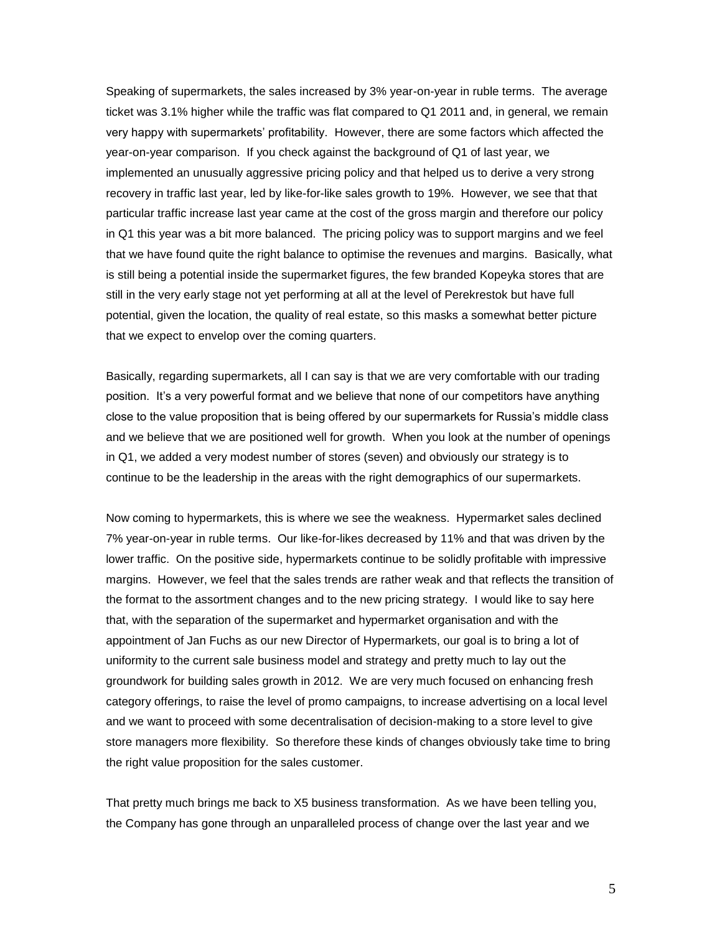Speaking of supermarkets, the sales increased by 3% year-on-year in ruble terms. The average ticket was 3.1% higher while the traffic was flat compared to Q1 2011 and, in general, we remain very happy with supermarkets' profitability. However, there are some factors which affected the year-on-year comparison. If you check against the background of Q1 of last year, we implemented an unusually aggressive pricing policy and that helped us to derive a very strong recovery in traffic last year, led by like-for-like sales growth to 19%. However, we see that that particular traffic increase last year came at the cost of the gross margin and therefore our policy in Q1 this year was a bit more balanced. The pricing policy was to support margins and we feel that we have found quite the right balance to optimise the revenues and margins. Basically, what is still being a potential inside the supermarket figures, the few branded Kopeyka stores that are still in the very early stage not yet performing at all at the level of Perekrestok but have full potential, given the location, the quality of real estate, so this masks a somewhat better picture that we expect to envelop over the coming quarters.

Basically, regarding supermarkets, all I can say is that we are very comfortable with our trading position. It's a very powerful format and we believe that none of our competitors have anything close to the value proposition that is being offered by our supermarkets for Russia's middle class and we believe that we are positioned well for growth. When you look at the number of openings in Q1, we added a very modest number of stores (seven) and obviously our strategy is to continue to be the leadership in the areas with the right demographics of our supermarkets.

Now coming to hypermarkets, this is where we see the weakness. Hypermarket sales declined 7% year-on-year in ruble terms. Our like-for-likes decreased by 11% and that was driven by the lower traffic. On the positive side, hypermarkets continue to be solidly profitable with impressive margins. However, we feel that the sales trends are rather weak and that reflects the transition of the format to the assortment changes and to the new pricing strategy. I would like to say here that, with the separation of the supermarket and hypermarket organisation and with the appointment of Jan Fuchs as our new Director of Hypermarkets, our goal is to bring a lot of uniformity to the current sale business model and strategy and pretty much to lay out the groundwork for building sales growth in 2012. We are very much focused on enhancing fresh category offerings, to raise the level of promo campaigns, to increase advertising on a local level and we want to proceed with some decentralisation of decision-making to a store level to give store managers more flexibility. So therefore these kinds of changes obviously take time to bring the right value proposition for the sales customer.

That pretty much brings me back to X5 business transformation. As we have been telling you, the Company has gone through an unparalleled process of change over the last year and we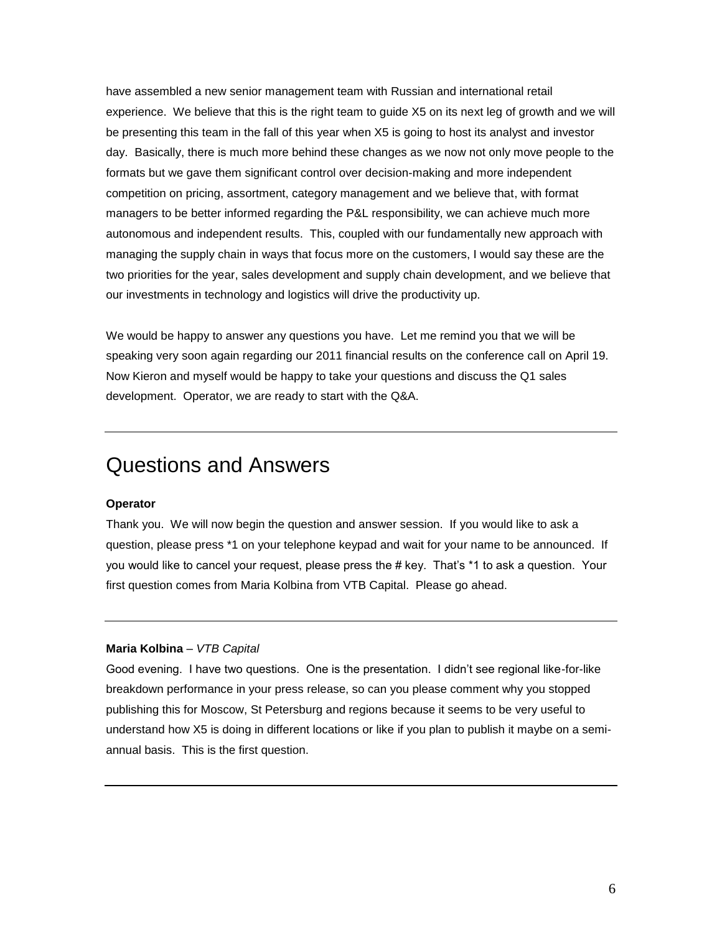have assembled a new senior management team with Russian and international retail experience. We believe that this is the right team to guide X5 on its next leg of growth and we will be presenting this team in the fall of this year when X5 is going to host its analyst and investor day. Basically, there is much more behind these changes as we now not only move people to the formats but we gave them significant control over decision-making and more independent competition on pricing, assortment, category management and we believe that, with format managers to be better informed regarding the P&L responsibility, we can achieve much more autonomous and independent results. This, coupled with our fundamentally new approach with managing the supply chain in ways that focus more on the customers, I would say these are the two priorities for the year, sales development and supply chain development, and we believe that our investments in technology and logistics will drive the productivity up.

We would be happy to answer any questions you have. Let me remind you that we will be speaking very soon again regarding our 2011 financial results on the conference call on April 19. Now Kieron and myself would be happy to take your questions and discuss the Q1 sales development. Operator, we are ready to start with the Q&A.

# Questions and Answers

#### **Operator**

Thank you. We will now begin the question and answer session. If you would like to ask a question, please press \*1 on your telephone keypad and wait for your name to be announced. If you would like to cancel your request, please press the # key. That's \*1 to ask a question. Your first question comes from Maria Kolbina from VTB Capital. Please go ahead.

#### **Maria Kolbina** – *VTB Capital*

Good evening. I have two questions. One is the presentation. I didn't see regional like-for-like breakdown performance in your press release, so can you please comment why you stopped publishing this for Moscow, St Petersburg and regions because it seems to be very useful to understand how X5 is doing in different locations or like if you plan to publish it maybe on a semiannual basis. This is the first question.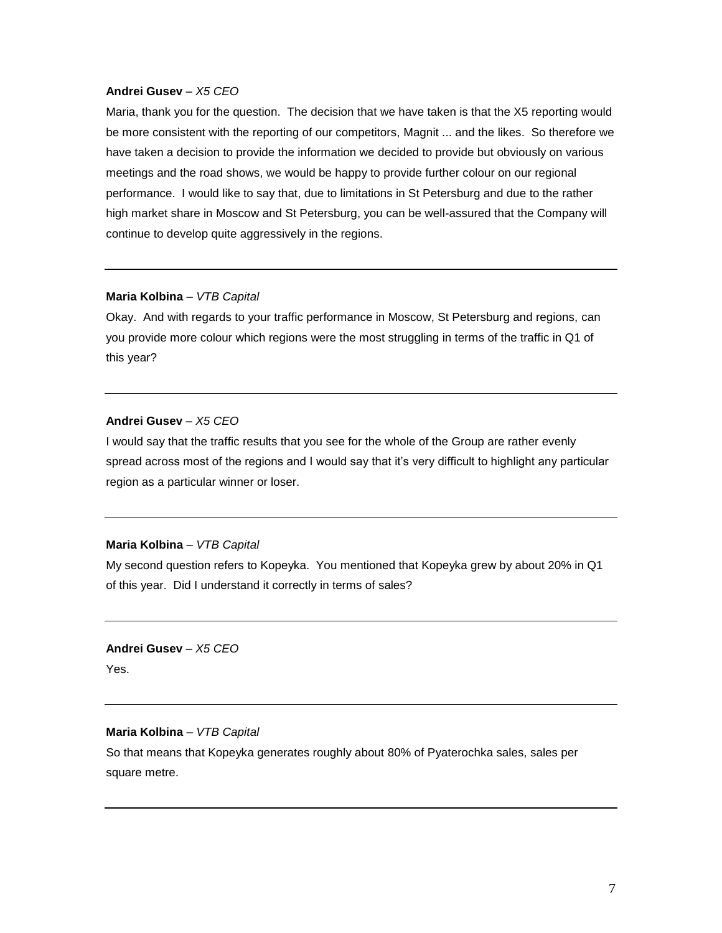Maria, thank you for the question. The decision that we have taken is that the X5 reporting would be more consistent with the reporting of our competitors, Magnit ... and the likes. So therefore we have taken a decision to provide the information we decided to provide but obviously on various meetings and the road shows, we would be happy to provide further colour on our regional performance. I would like to say that, due to limitations in St Petersburg and due to the rather high market share in Moscow and St Petersburg, you can be well-assured that the Company will continue to develop quite aggressively in the regions.

#### **Maria Kolbina** – *VTB Capital*

Okay. And with regards to your traffic performance in Moscow, St Petersburg and regions, can you provide more colour which regions were the most struggling in terms of the traffic in Q1 of this year?

## **Andrei Gusev** – *X5 CEO*

I would say that the traffic results that you see for the whole of the Group are rather evenly spread across most of the regions and I would say that it's very difficult to highlight any particular region as a particular winner or loser.

#### **Maria Kolbina** – *VTB Capital*

My second question refers to Kopeyka. You mentioned that Kopeyka grew by about 20% in Q1 of this year. Did I understand it correctly in terms of sales?

**Andrei Gusev** – *X5 CEO* Yes.

#### **Maria Kolbina** – *VTB Capital*

So that means that Kopeyka generates roughly about 80% of Pyaterochka sales, sales per square metre.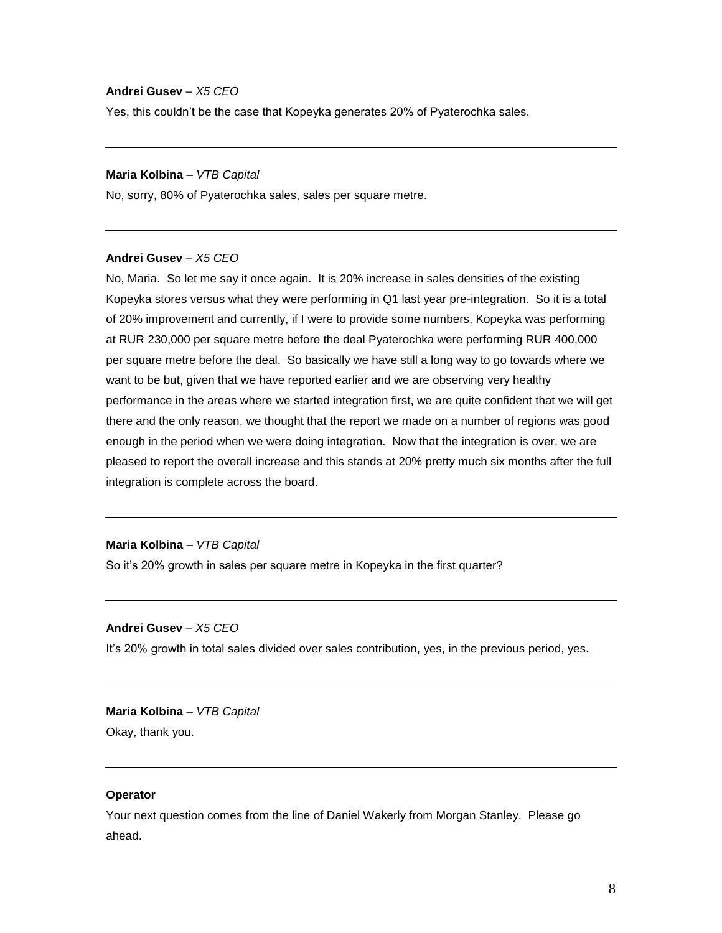Yes, this couldn't be the case that Kopeyka generates 20% of Pyaterochka sales.

#### **Maria Kolbina** – *VTB Capital*

No, sorry, 80% of Pyaterochka sales, sales per square metre.

#### **Andrei Gusev** – *X5 CEO*

No, Maria. So let me say it once again. It is 20% increase in sales densities of the existing Kopeyka stores versus what they were performing in Q1 last year pre-integration. So it is a total of 20% improvement and currently, if I were to provide some numbers, Kopeyka was performing at RUR 230,000 per square metre before the deal Pyaterochka were performing RUR 400,000 per square metre before the deal. So basically we have still a long way to go towards where we want to be but, given that we have reported earlier and we are observing very healthy performance in the areas where we started integration first, we are quite confident that we will get there and the only reason, we thought that the report we made on a number of regions was good enough in the period when we were doing integration. Now that the integration is over, we are pleased to report the overall increase and this stands at 20% pretty much six months after the full integration is complete across the board.

#### **Maria Kolbina** – *VTB Capital*

So it's 20% growth in sales per square metre in Kopeyka in the first quarter?

## **Andrei Gusev** – *X5 CEO*

It's 20% growth in total sales divided over sales contribution, yes, in the previous period, yes.

## **Maria Kolbina** – *VTB Capital* Okay, thank you.

#### **Operator**

Your next question comes from the line of Daniel Wakerly from Morgan Stanley. Please go ahead.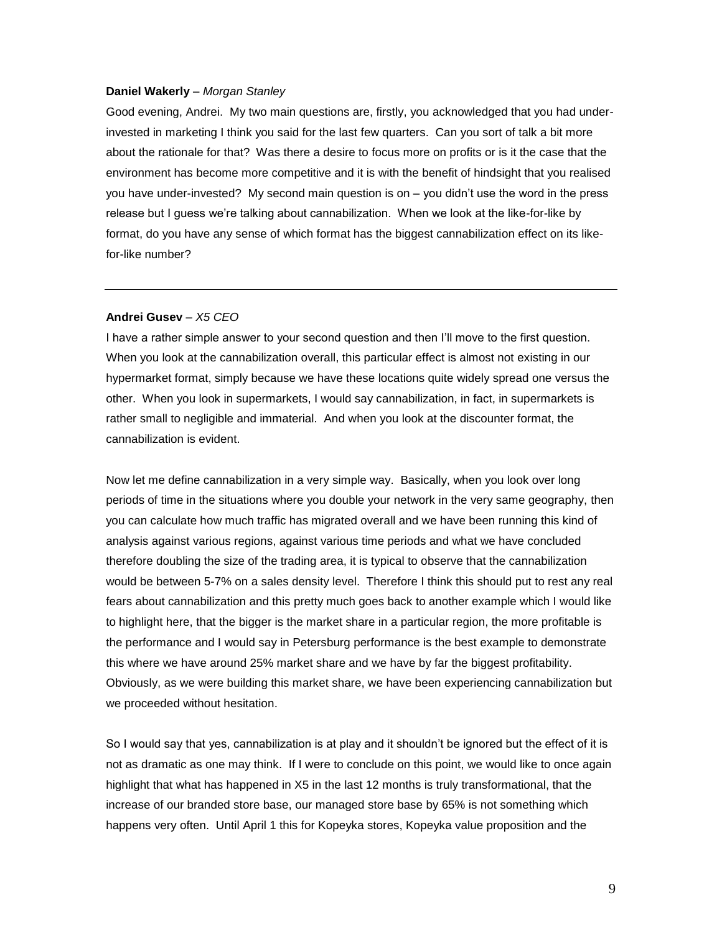#### **Daniel Wakerly** – *Morgan Stanley*

Good evening, Andrei. My two main questions are, firstly, you acknowledged that you had underinvested in marketing I think you said for the last few quarters. Can you sort of talk a bit more about the rationale for that? Was there a desire to focus more on profits or is it the case that the environment has become more competitive and it is with the benefit of hindsight that you realised you have under-invested? My second main question is on – you didn't use the word in the press release but I guess we're talking about cannabilization. When we look at the like-for-like by format, do you have any sense of which format has the biggest cannabilization effect on its likefor-like number?

#### **Andrei Gusev** – *X5 CEO*

I have a rather simple answer to your second question and then I'll move to the first question. When you look at the cannabilization overall, this particular effect is almost not existing in our hypermarket format, simply because we have these locations quite widely spread one versus the other. When you look in supermarkets, I would say cannabilization, in fact, in supermarkets is rather small to negligible and immaterial. And when you look at the discounter format, the cannabilization is evident.

Now let me define cannabilization in a very simple way. Basically, when you look over long periods of time in the situations where you double your network in the very same geography, then you can calculate how much traffic has migrated overall and we have been running this kind of analysis against various regions, against various time periods and what we have concluded therefore doubling the size of the trading area, it is typical to observe that the cannabilization would be between 5-7% on a sales density level. Therefore I think this should put to rest any real fears about cannabilization and this pretty much goes back to another example which I would like to highlight here, that the bigger is the market share in a particular region, the more profitable is the performance and I would say in Petersburg performance is the best example to demonstrate this where we have around 25% market share and we have by far the biggest profitability. Obviously, as we were building this market share, we have been experiencing cannabilization but we proceeded without hesitation.

So I would say that yes, cannabilization is at play and it shouldn't be ignored but the effect of it is not as dramatic as one may think. If I were to conclude on this point, we would like to once again highlight that what has happened in X5 in the last 12 months is truly transformational, that the increase of our branded store base, our managed store base by 65% is not something which happens very often. Until April 1 this for Kopeyka stores, Kopeyka value proposition and the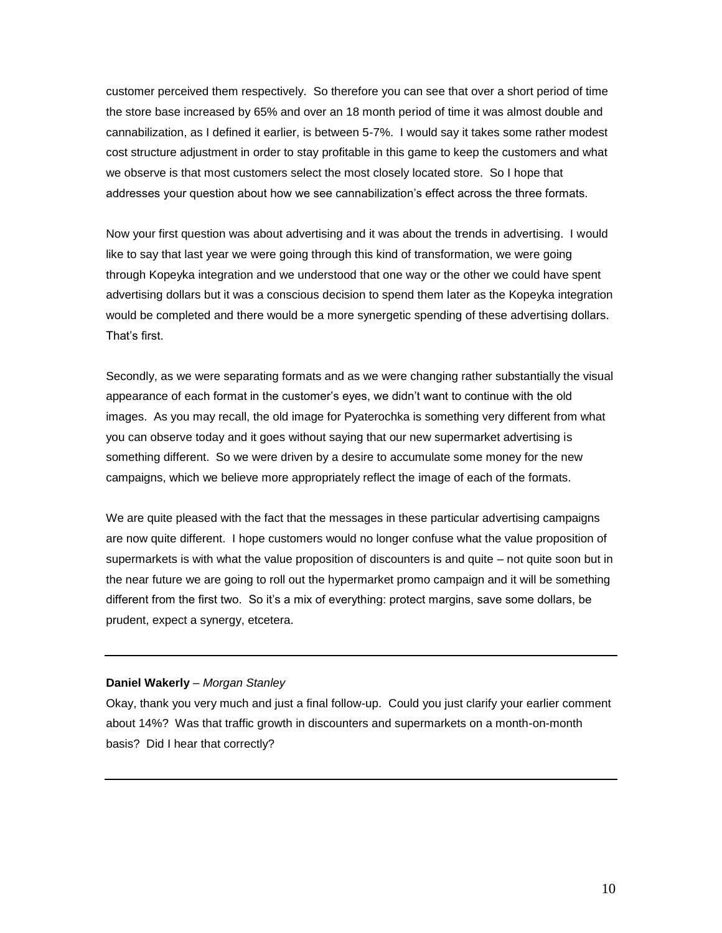customer perceived them respectively. So therefore you can see that over a short period of time the store base increased by 65% and over an 18 month period of time it was almost double and cannabilization, as I defined it earlier, is between 5-7%. I would say it takes some rather modest cost structure adjustment in order to stay profitable in this game to keep the customers and what we observe is that most customers select the most closely located store. So I hope that addresses your question about how we see cannabilization's effect across the three formats.

Now your first question was about advertising and it was about the trends in advertising. I would like to say that last year we were going through this kind of transformation, we were going through Kopeyka integration and we understood that one way or the other we could have spent advertising dollars but it was a conscious decision to spend them later as the Kopeyka integration would be completed and there would be a more synergetic spending of these advertising dollars. That's first.

Secondly, as we were separating formats and as we were changing rather substantially the visual appearance of each format in the customer's eyes, we didn't want to continue with the old images. As you may recall, the old image for Pyaterochka is something very different from what you can observe today and it goes without saying that our new supermarket advertising is something different. So we were driven by a desire to accumulate some money for the new campaigns, which we believe more appropriately reflect the image of each of the formats.

We are quite pleased with the fact that the messages in these particular advertising campaigns are now quite different. I hope customers would no longer confuse what the value proposition of supermarkets is with what the value proposition of discounters is and quite – not quite soon but in the near future we are going to roll out the hypermarket promo campaign and it will be something different from the first two. So it's a mix of everything: protect margins, save some dollars, be prudent, expect a synergy, etcetera.

#### **Daniel Wakerly** – *Morgan Stanley*

Okay, thank you very much and just a final follow-up. Could you just clarify your earlier comment about 14%? Was that traffic growth in discounters and supermarkets on a month-on-month basis? Did I hear that correctly?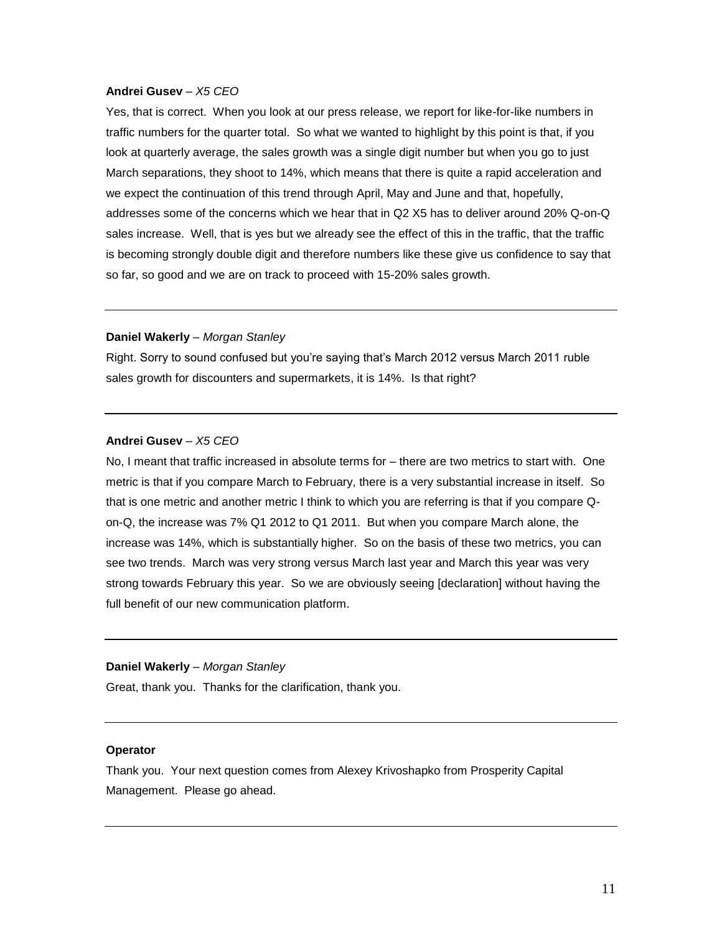Yes, that is correct. When you look at our press release, we report for like-for-like numbers in traffic numbers for the quarter total. So what we wanted to highlight by this point is that, if you look at quarterly average, the sales growth was a single digit number but when you go to just March separations, they shoot to 14%, which means that there is quite a rapid acceleration and we expect the continuation of this trend through April, May and June and that, hopefully, addresses some of the concerns which we hear that in Q2 X5 has to deliver around 20% Q-on-Q sales increase. Well, that is yes but we already see the effect of this in the traffic, that the traffic is becoming strongly double digit and therefore numbers like these give us confidence to say that so far, so good and we are on track to proceed with 15-20% sales growth.

## **Daniel Wakerly** – *Morgan Stanley*

Right. Sorry to sound confused but you're saying that's March 2012 versus March 2011 ruble sales growth for discounters and supermarkets, it is 14%. Is that right?

#### **Andrei Gusev** – *X5 CEO*

No, I meant that traffic increased in absolute terms for – there are two metrics to start with. One metric is that if you compare March to February, there is a very substantial increase in itself. So that is one metric and another metric I think to which you are referring is that if you compare Qon-Q, the increase was 7% Q1 2012 to Q1 2011. But when you compare March alone, the increase was 14%, which is substantially higher. So on the basis of these two metrics, you can see two trends. March was very strong versus March last year and March this year was very strong towards February this year. So we are obviously seeing [declaration] without having the full benefit of our new communication platform.

#### **Daniel Wakerly** – *Morgan Stanley*

Great, thank you. Thanks for the clarification, thank you.

#### **Operator**

Thank you. Your next question comes from Alexey Krivoshapko from Prosperity Capital Management. Please go ahead.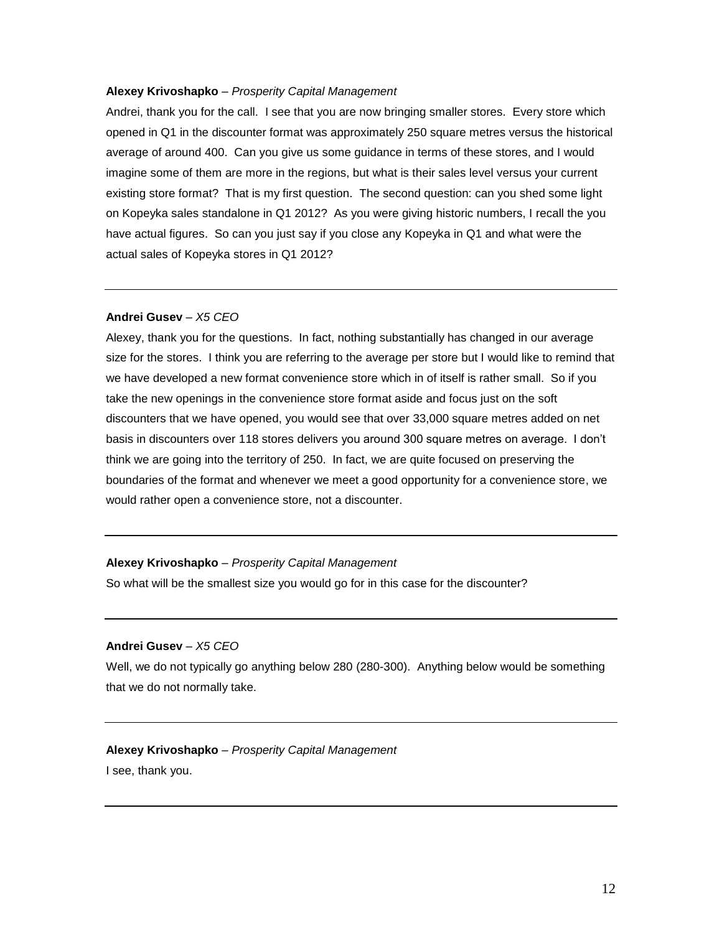#### **Alexey Krivoshapko** – *Prosperity Capital Management*

Andrei, thank you for the call. I see that you are now bringing smaller stores. Every store which opened in Q1 in the discounter format was approximately 250 square metres versus the historical average of around 400. Can you give us some guidance in terms of these stores, and I would imagine some of them are more in the regions, but what is their sales level versus your current existing store format? That is my first question. The second question: can you shed some light on Kopeyka sales standalone in Q1 2012? As you were giving historic numbers, I recall the you have actual figures. So can you just say if you close any Kopeyka in Q1 and what were the actual sales of Kopeyka stores in Q1 2012?

#### **Andrei Gusev** – *X5 CEO*

Alexey, thank you for the questions. In fact, nothing substantially has changed in our average size for the stores. I think you are referring to the average per store but I would like to remind that we have developed a new format convenience store which in of itself is rather small. So if you take the new openings in the convenience store format aside and focus just on the soft discounters that we have opened, you would see that over 33,000 square metres added on net basis in discounters over 118 stores delivers you around 300 square metres on average. I don't think we are going into the territory of 250. In fact, we are quite focused on preserving the boundaries of the format and whenever we meet a good opportunity for a convenience store, we would rather open a convenience store, not a discounter.

#### **Alexey Krivoshapko** – *Prosperity Capital Management*

So what will be the smallest size you would go for in this case for the discounter?

#### **Andrei Gusev** – *X5 CEO*

Well, we do not typically go anything below 280 (280-300). Anything below would be something that we do not normally take.

**Alexey Krivoshapko** – *Prosperity Capital Management* I see, thank you.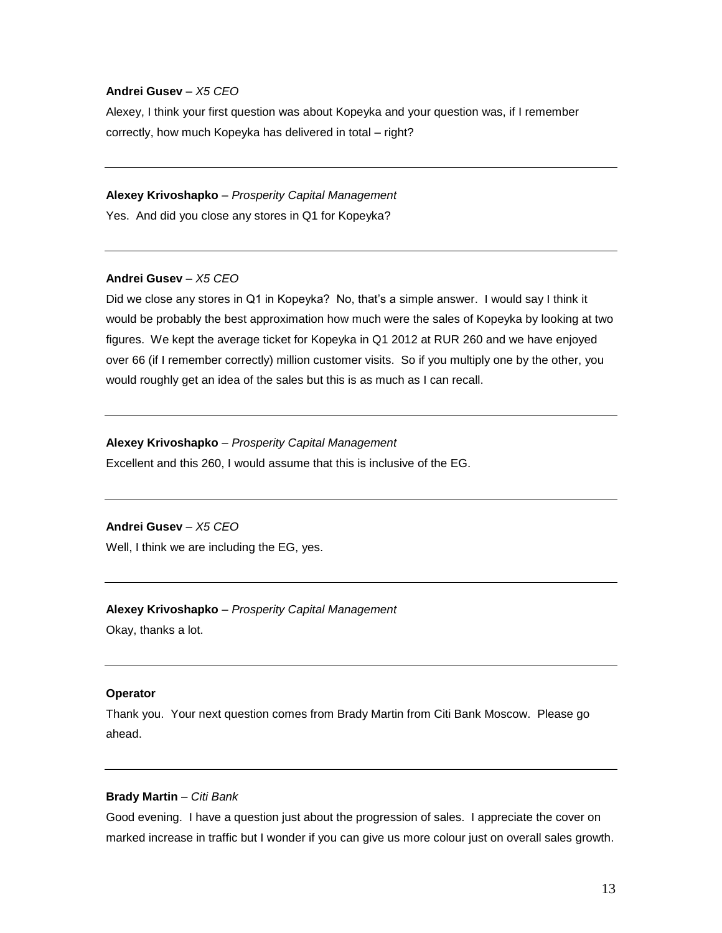Alexey, I think your first question was about Kopeyka and your question was, if I remember correctly, how much Kopeyka has delivered in total – right?

#### **Alexey Krivoshapko** – *Prosperity Capital Management*

Yes. And did you close any stores in Q1 for Kopeyka?

## **Andrei Gusev** – *X5 CEO*

Did we close any stores in Q1 in Kopeyka? No, that's a simple answer. I would say I think it would be probably the best approximation how much were the sales of Kopeyka by looking at two figures. We kept the average ticket for Kopeyka in Q1 2012 at RUR 260 and we have enjoyed over 66 (if I remember correctly) million customer visits. So if you multiply one by the other, you would roughly get an idea of the sales but this is as much as I can recall.

#### **Alexey Krivoshapko** – *Prosperity Capital Management*

Excellent and this 260, I would assume that this is inclusive of the EG.

## **Andrei Gusev** – *X5 CEO*

Well, I think we are including the EG, yes.

## **Alexey Krivoshapko** – *Prosperity Capital Management* Okay, thanks a lot.

# **Operator**

Thank you. Your next question comes from Brady Martin from Citi Bank Moscow. Please go ahead.

#### **Brady Martin** – *Citi Bank*

Good evening. I have a question just about the progression of sales. I appreciate the cover on marked increase in traffic but I wonder if you can give us more colour just on overall sales growth.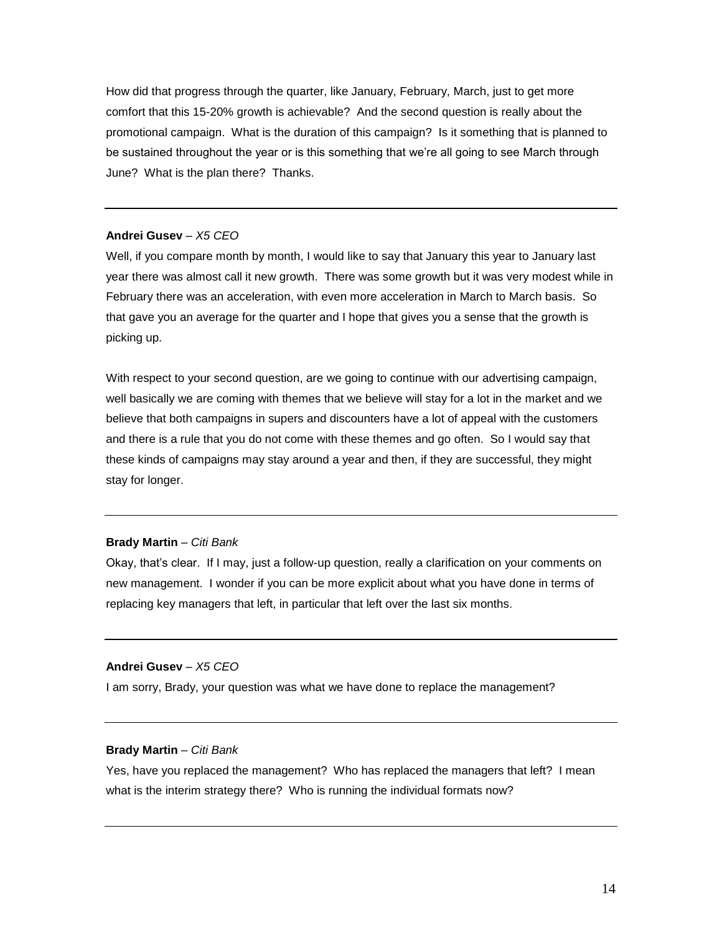How did that progress through the quarter, like January, February, March, just to get more comfort that this 15-20% growth is achievable? And the second question is really about the promotional campaign. What is the duration of this campaign? Is it something that is planned to be sustained throughout the year or is this something that we're all going to see March through June? What is the plan there? Thanks.

#### **Andrei Gusev** – *X5 CEO*

Well, if you compare month by month, I would like to say that January this year to January last year there was almost call it new growth. There was some growth but it was very modest while in February there was an acceleration, with even more acceleration in March to March basis. So that gave you an average for the quarter and I hope that gives you a sense that the growth is picking up.

With respect to your second question, are we going to continue with our advertising campaign, well basically we are coming with themes that we believe will stay for a lot in the market and we believe that both campaigns in supers and discounters have a lot of appeal with the customers and there is a rule that you do not come with these themes and go often. So I would say that these kinds of campaigns may stay around a year and then, if they are successful, they might stay for longer.

#### **Brady Martin** – *Citi Bank*

Okay, that's clear. If I may, just a follow-up question, really a clarification on your comments on new management. I wonder if you can be more explicit about what you have done in terms of replacing key managers that left, in particular that left over the last six months.

#### **Andrei Gusev** – *X5 CEO*

I am sorry, Brady, your question was what we have done to replace the management?

## **Brady Martin** – *Citi Bank*

Yes, have you replaced the management? Who has replaced the managers that left? I mean what is the interim strategy there? Who is running the individual formats now?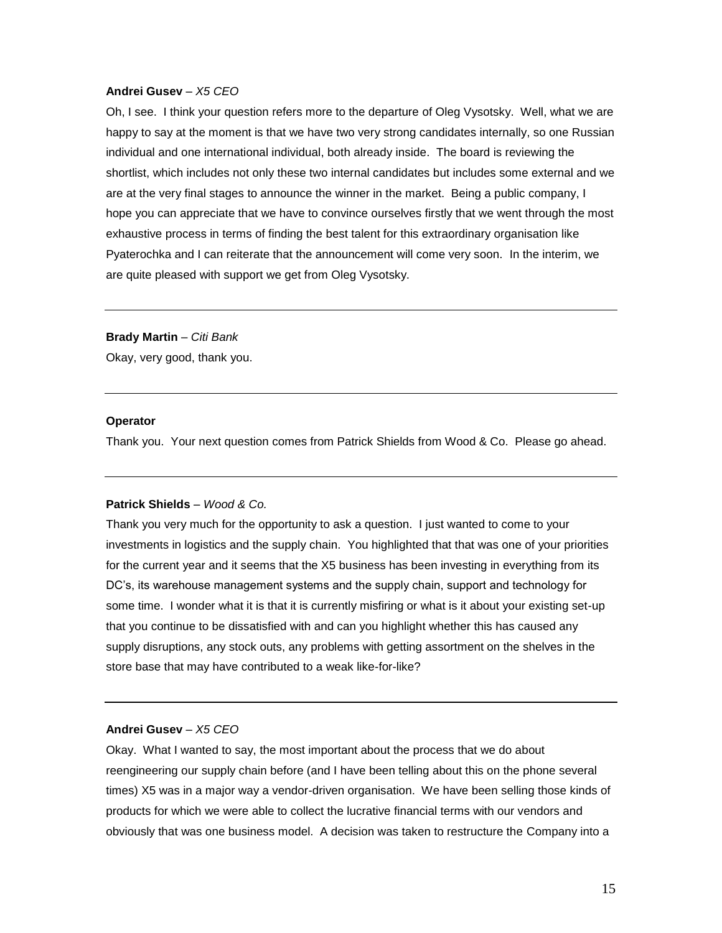Oh, I see. I think your question refers more to the departure of Oleg Vysotsky. Well, what we are happy to say at the moment is that we have two very strong candidates internally, so one Russian individual and one international individual, both already inside. The board is reviewing the shortlist, which includes not only these two internal candidates but includes some external and we are at the very final stages to announce the winner in the market. Being a public company, I hope you can appreciate that we have to convince ourselves firstly that we went through the most exhaustive process in terms of finding the best talent for this extraordinary organisation like Pyaterochka and I can reiterate that the announcement will come very soon. In the interim, we are quite pleased with support we get from Oleg Vysotsky.

**Brady Martin** – *Citi Bank*  Okay, very good, thank you.

#### **Operator**

Thank you. Your next question comes from Patrick Shields from Wood & Co. Please go ahead.

#### **Patrick Shields** – *Wood & Co.*

Thank you very much for the opportunity to ask a question. I just wanted to come to your investments in logistics and the supply chain. You highlighted that that was one of your priorities for the current year and it seems that the X5 business has been investing in everything from its DC's, its warehouse management systems and the supply chain, support and technology for some time. I wonder what it is that it is currently misfiring or what is it about your existing set-up that you continue to be dissatisfied with and can you highlight whether this has caused any supply disruptions, any stock outs, any problems with getting assortment on the shelves in the store base that may have contributed to a weak like-for-like?

#### **Andrei Gusev** – *X5 CEO*

Okay. What I wanted to say, the most important about the process that we do about reengineering our supply chain before (and I have been telling about this on the phone several times) X5 was in a major way a vendor-driven organisation. We have been selling those kinds of products for which we were able to collect the lucrative financial terms with our vendors and obviously that was one business model. A decision was taken to restructure the Company into a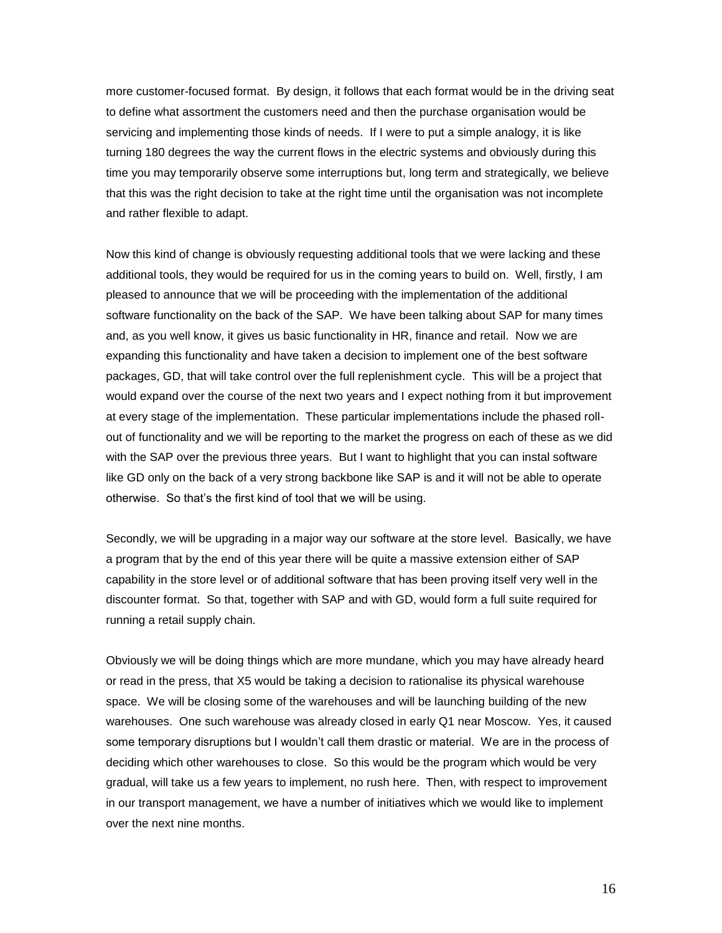more customer-focused format. By design, it follows that each format would be in the driving seat to define what assortment the customers need and then the purchase organisation would be servicing and implementing those kinds of needs. If I were to put a simple analogy, it is like turning 180 degrees the way the current flows in the electric systems and obviously during this time you may temporarily observe some interruptions but, long term and strategically, we believe that this was the right decision to take at the right time until the organisation was not incomplete and rather flexible to adapt.

Now this kind of change is obviously requesting additional tools that we were lacking and these additional tools, they would be required for us in the coming years to build on. Well, firstly, I am pleased to announce that we will be proceeding with the implementation of the additional software functionality on the back of the SAP. We have been talking about SAP for many times and, as you well know, it gives us basic functionality in HR, finance and retail. Now we are expanding this functionality and have taken a decision to implement one of the best software packages, GD, that will take control over the full replenishment cycle. This will be a project that would expand over the course of the next two years and I expect nothing from it but improvement at every stage of the implementation. These particular implementations include the phased rollout of functionality and we will be reporting to the market the progress on each of these as we did with the SAP over the previous three years. But I want to highlight that you can instal software like GD only on the back of a very strong backbone like SAP is and it will not be able to operate otherwise. So that's the first kind of tool that we will be using.

Secondly, we will be upgrading in a major way our software at the store level. Basically, we have a program that by the end of this year there will be quite a massive extension either of SAP capability in the store level or of additional software that has been proving itself very well in the discounter format. So that, together with SAP and with GD, would form a full suite required for running a retail supply chain.

Obviously we will be doing things which are more mundane, which you may have already heard or read in the press, that X5 would be taking a decision to rationalise its physical warehouse space. We will be closing some of the warehouses and will be launching building of the new warehouses. One such warehouse was already closed in early Q1 near Moscow. Yes, it caused some temporary disruptions but I wouldn't call them drastic or material. We are in the process of deciding which other warehouses to close. So this would be the program which would be very gradual, will take us a few years to implement, no rush here. Then, with respect to improvement in our transport management, we have a number of initiatives which we would like to implement over the next nine months.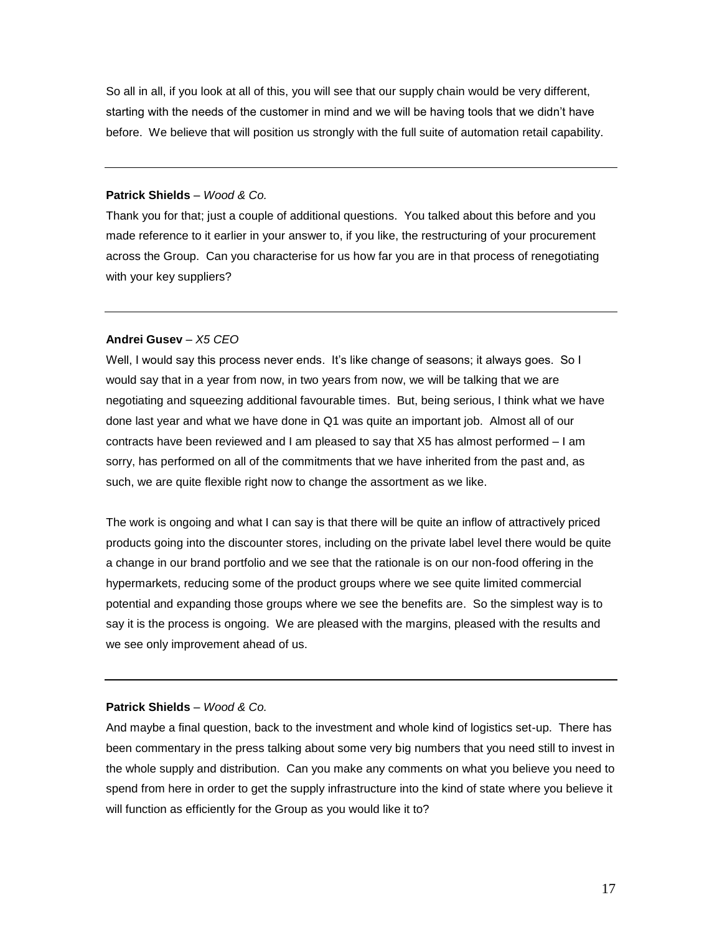So all in all, if you look at all of this, you will see that our supply chain would be very different, starting with the needs of the customer in mind and we will be having tools that we didn't have before. We believe that will position us strongly with the full suite of automation retail capability.

#### **Patrick Shields** – *Wood & Co.*

Thank you for that; just a couple of additional questions. You talked about this before and you made reference to it earlier in your answer to, if you like, the restructuring of your procurement across the Group. Can you characterise for us how far you are in that process of renegotiating with your key suppliers?

#### **Andrei Gusev** – *X5 CEO*

Well, I would say this process never ends. It's like change of seasons; it always goes. So I would say that in a year from now, in two years from now, we will be talking that we are negotiating and squeezing additional favourable times. But, being serious, I think what we have done last year and what we have done in Q1 was quite an important job. Almost all of our contracts have been reviewed and I am pleased to say that X5 has almost performed – I am sorry, has performed on all of the commitments that we have inherited from the past and, as such, we are quite flexible right now to change the assortment as we like.

The work is ongoing and what I can say is that there will be quite an inflow of attractively priced products going into the discounter stores, including on the private label level there would be quite a change in our brand portfolio and we see that the rationale is on our non-food offering in the hypermarkets, reducing some of the product groups where we see quite limited commercial potential and expanding those groups where we see the benefits are. So the simplest way is to say it is the process is ongoing. We are pleased with the margins, pleased with the results and we see only improvement ahead of us.

## **Patrick Shields** – *Wood & Co.*

And maybe a final question, back to the investment and whole kind of logistics set-up. There has been commentary in the press talking about some very big numbers that you need still to invest in the whole supply and distribution. Can you make any comments on what you believe you need to spend from here in order to get the supply infrastructure into the kind of state where you believe it will function as efficiently for the Group as you would like it to?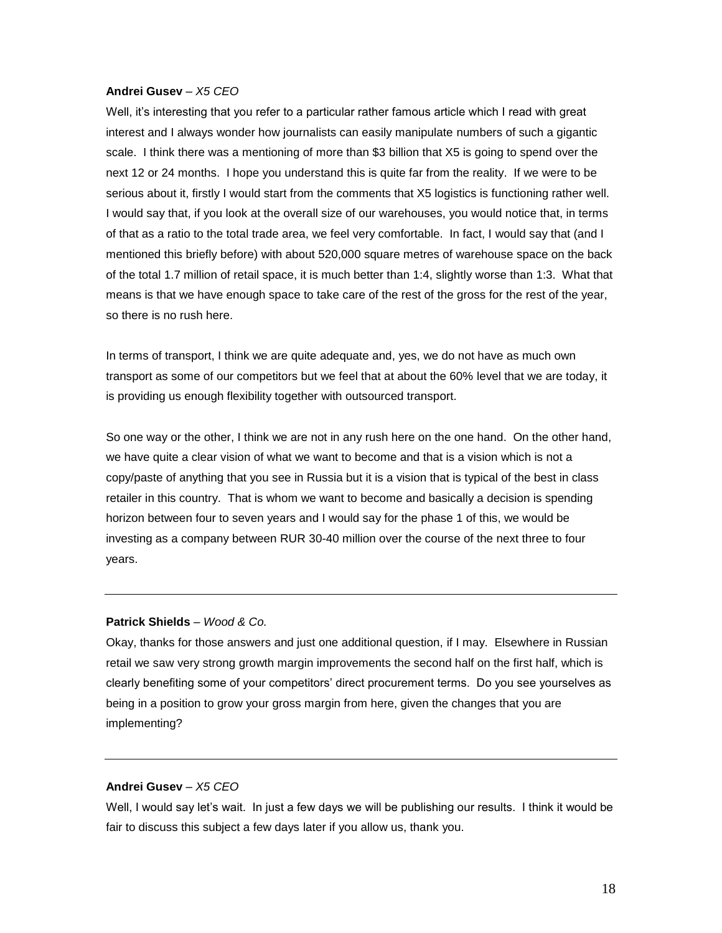Well, it's interesting that you refer to a particular rather famous article which I read with great interest and I always wonder how journalists can easily manipulate numbers of such a gigantic scale. I think there was a mentioning of more than \$3 billion that X5 is going to spend over the next 12 or 24 months. I hope you understand this is quite far from the reality. If we were to be serious about it, firstly I would start from the comments that X5 logistics is functioning rather well. I would say that, if you look at the overall size of our warehouses, you would notice that, in terms of that as a ratio to the total trade area, we feel very comfortable. In fact, I would say that (and I mentioned this briefly before) with about 520,000 square metres of warehouse space on the back of the total 1.7 million of retail space, it is much better than 1:4, slightly worse than 1:3. What that means is that we have enough space to take care of the rest of the gross for the rest of the year, so there is no rush here.

In terms of transport, I think we are quite adequate and, yes, we do not have as much own transport as some of our competitors but we feel that at about the 60% level that we are today, it is providing us enough flexibility together with outsourced transport.

So one way or the other, I think we are not in any rush here on the one hand. On the other hand, we have quite a clear vision of what we want to become and that is a vision which is not a copy/paste of anything that you see in Russia but it is a vision that is typical of the best in class retailer in this country. That is whom we want to become and basically a decision is spending horizon between four to seven years and I would say for the phase 1 of this, we would be investing as a company between RUR 30-40 million over the course of the next three to four years.

#### **Patrick Shields** – *Wood & Co.*

Okay, thanks for those answers and just one additional question, if I may. Elsewhere in Russian retail we saw very strong growth margin improvements the second half on the first half, which is clearly benefiting some of your competitors' direct procurement terms. Do you see yourselves as being in a position to grow your gross margin from here, given the changes that you are implementing?

#### **Andrei Gusev** – *X5 CEO*

Well, I would say let's wait. In just a few days we will be publishing our results. I think it would be fair to discuss this subject a few days later if you allow us, thank you.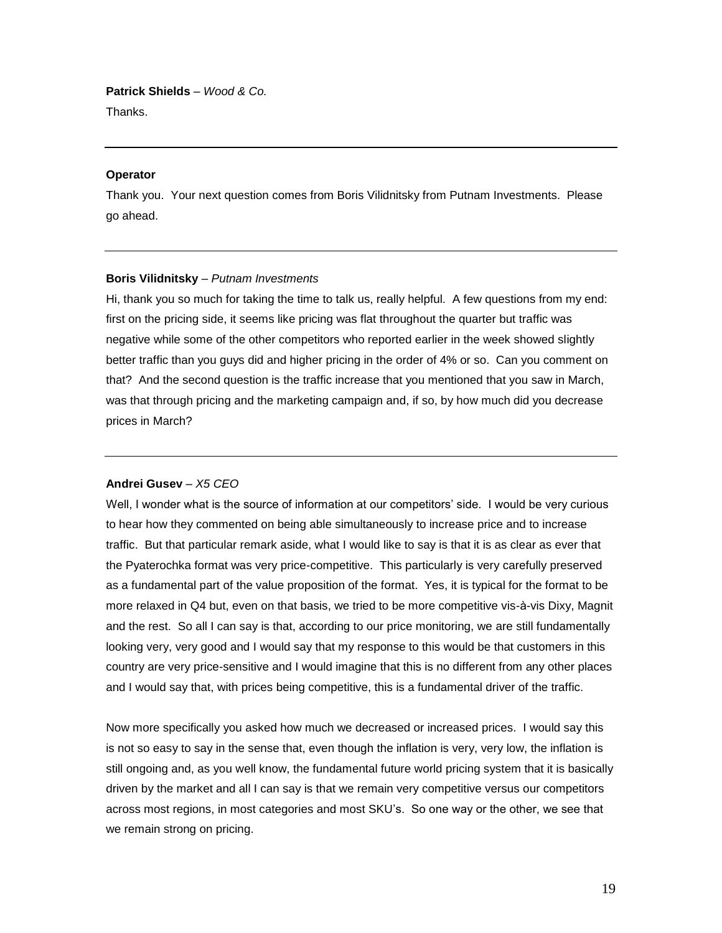**Patrick Shields** – *Wood & Co.* Thanks.

#### **Operator**

Thank you. Your next question comes from Boris Vilidnitsky from Putnam Investments. Please go ahead.

#### **Boris Vilidnitsky** – *Putnam Investments*

Hi, thank you so much for taking the time to talk us, really helpful. A few questions from my end: first on the pricing side, it seems like pricing was flat throughout the quarter but traffic was negative while some of the other competitors who reported earlier in the week showed slightly better traffic than you guys did and higher pricing in the order of 4% or so. Can you comment on that? And the second question is the traffic increase that you mentioned that you saw in March, was that through pricing and the marketing campaign and, if so, by how much did you decrease prices in March?

#### **Andrei Gusev** – *X5 CEO*

Well, I wonder what is the source of information at our competitors' side. I would be very curious to hear how they commented on being able simultaneously to increase price and to increase traffic. But that particular remark aside, what I would like to say is that it is as clear as ever that the Pyaterochka format was very price-competitive. This particularly is very carefully preserved as a fundamental part of the value proposition of the format. Yes, it is typical for the format to be more relaxed in Q4 but, even on that basis, we tried to be more competitive vis-à-vis Dixy, Magnit and the rest. So all I can say is that, according to our price monitoring, we are still fundamentally looking very, very good and I would say that my response to this would be that customers in this country are very price-sensitive and I would imagine that this is no different from any other places and I would say that, with prices being competitive, this is a fundamental driver of the traffic.

Now more specifically you asked how much we decreased or increased prices. I would say this is not so easy to say in the sense that, even though the inflation is very, very low, the inflation is still ongoing and, as you well know, the fundamental future world pricing system that it is basically driven by the market and all I can say is that we remain very competitive versus our competitors across most regions, in most categories and most SKU's. So one way or the other, we see that we remain strong on pricing.

19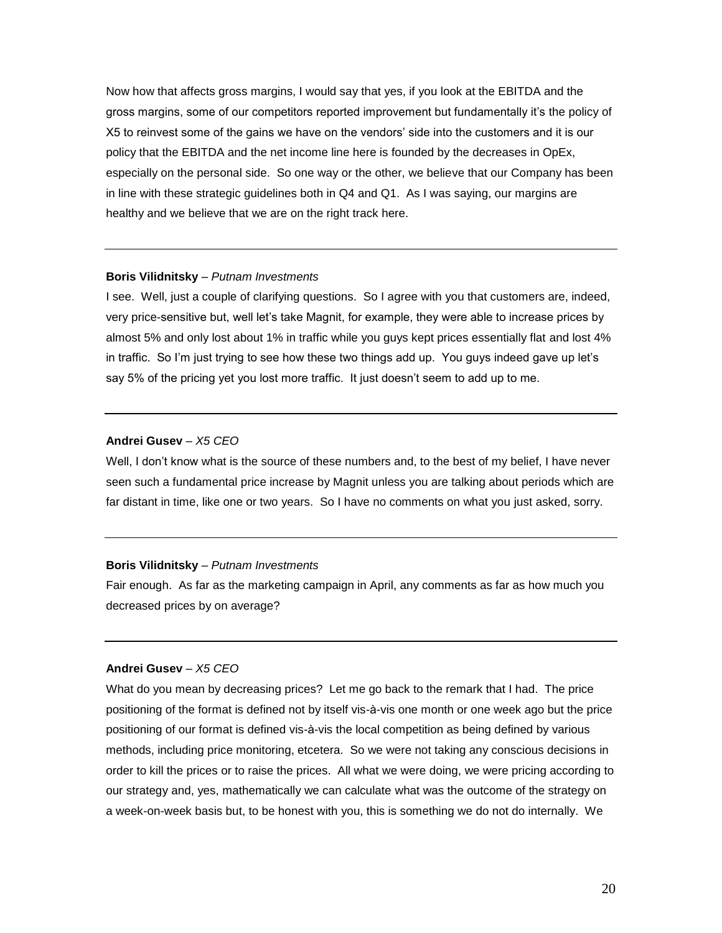Now how that affects gross margins, I would say that yes, if you look at the EBITDA and the gross margins, some of our competitors reported improvement but fundamentally it's the policy of X5 to reinvest some of the gains we have on the vendors' side into the customers and it is our policy that the EBITDA and the net income line here is founded by the decreases in OpEx, especially on the personal side. So one way or the other, we believe that our Company has been in line with these strategic guidelines both in Q4 and Q1. As I was saying, our margins are healthy and we believe that we are on the right track here.

#### **Boris Vilidnitsky** – *Putnam Investments*

I see. Well, just a couple of clarifying questions. So I agree with you that customers are, indeed, very price-sensitive but, well let's take Magnit, for example, they were able to increase prices by almost 5% and only lost about 1% in traffic while you guys kept prices essentially flat and lost 4% in traffic. So I'm just trying to see how these two things add up. You guys indeed gave up let's say 5% of the pricing yet you lost more traffic. It just doesn't seem to add up to me.

#### **Andrei Gusev** – *X5 CEO*

Well, I don't know what is the source of these numbers and, to the best of my belief, I have never seen such a fundamental price increase by Magnit unless you are talking about periods which are far distant in time, like one or two years. So I have no comments on what you just asked, sorry.

#### **Boris Vilidnitsky** – *Putnam Investments*

Fair enough. As far as the marketing campaign in April, any comments as far as how much you decreased prices by on average?

#### **Andrei Gusev** – *X5 CEO*

What do you mean by decreasing prices? Let me go back to the remark that I had. The price positioning of the format is defined not by itself vis-à-vis one month or one week ago but the price positioning of our format is defined vis-à-vis the local competition as being defined by various methods, including price monitoring, etcetera. So we were not taking any conscious decisions in order to kill the prices or to raise the prices. All what we were doing, we were pricing according to our strategy and, yes, mathematically we can calculate what was the outcome of the strategy on a week-on-week basis but, to be honest with you, this is something we do not do internally. We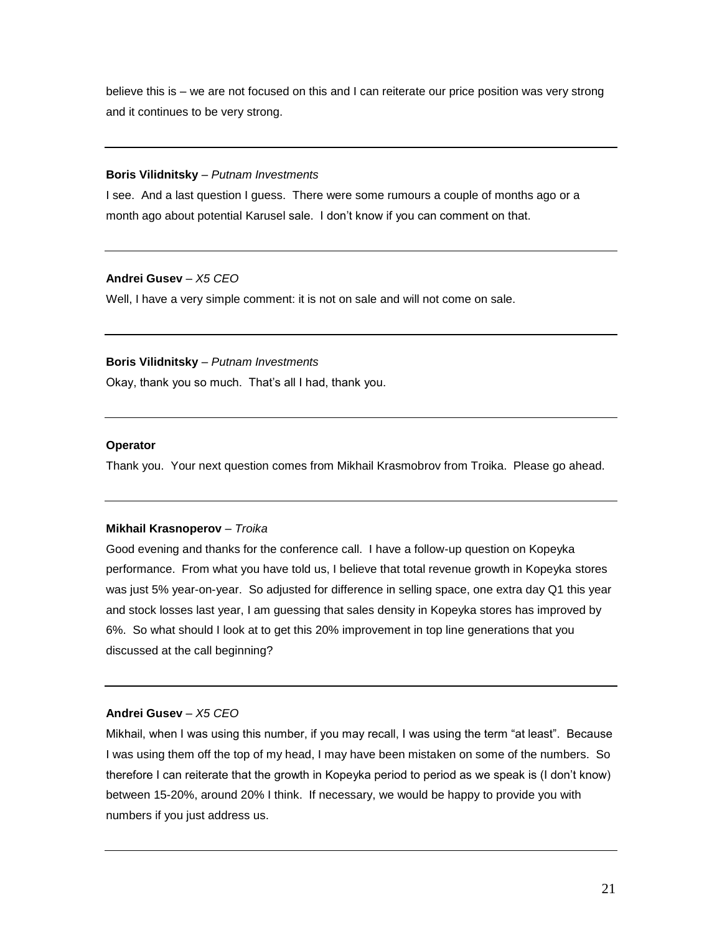believe this is – we are not focused on this and I can reiterate our price position was very strong and it continues to be very strong.

#### **Boris Vilidnitsky** – *Putnam Investments*

I see. And a last question I guess. There were some rumours a couple of months ago or a month ago about potential Karusel sale. I don't know if you can comment on that.

## **Andrei Gusev** – *X5 CEO*

Well, I have a very simple comment: it is not on sale and will not come on sale.

#### **Boris Vilidnitsky** – *Putnam Investments*

Okay, thank you so much. That's all I had, thank you.

#### **Operator**

Thank you. Your next question comes from Mikhail Krasmobrov from Troika. Please go ahead.

#### **Mikhail Krasnoperov** – *Troika*

Good evening and thanks for the conference call. I have a follow-up question on Kopeyka performance. From what you have told us, I believe that total revenue growth in Kopeyka stores was just 5% year-on-year. So adjusted for difference in selling space, one extra day Q1 this year and stock losses last year, I am guessing that sales density in Kopeyka stores has improved by 6%. So what should I look at to get this 20% improvement in top line generations that you discussed at the call beginning?

## **Andrei Gusev** – *X5 CEO*

Mikhail, when I was using this number, if you may recall, I was using the term "at least". Because I was using them off the top of my head, I may have been mistaken on some of the numbers. So therefore I can reiterate that the growth in Kopeyka period to period as we speak is (I don't know) between 15-20%, around 20% I think. If necessary, we would be happy to provide you with numbers if you just address us.